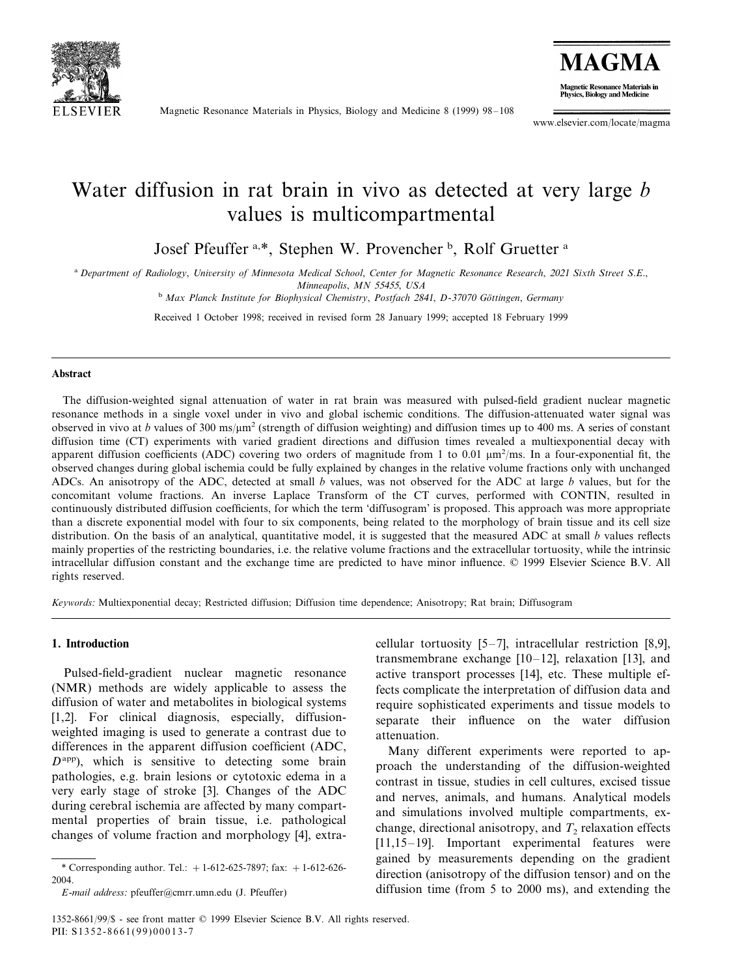

Magnetic Resonance Materials in Physics, Biology and Medicine 8 (1999) 98–108

**Magnetic Resonance Materials**<br>Physics, Biology and Medicine

 $MAGM$ 

www.elsevier.com/locate/magma

# Water diffusion in rat brain in vivo as detected at very large *b* values is multicompartmental

Josef Pfeuffer a,\*, Stephen W. Provencher b, Rolf Gruetter a

<sup>a</sup> Department of Radiology, University of Minnesota Medical School, Center for Magnetic Resonance Research, 2021 Sixth Street S.E., *Minneapolis*, *MN* 55455, *USA*

<sup>b</sup> *Max Planck Institute for Biophysical Chemistry, Postfach 2841, D-37070 Göttingen, Germany* 

Received 1 October 1998; received in revised form 28 January 1999; accepted 18 February 1999

## **Abstract**

The diffusion-weighted signal attenuation of water in rat brain was measured with pulsed-field gradient nuclear magnetic resonance methods in a single voxel under in vivo and global ischemic conditions. The diffusion-attenuated water signal was observed in vivo at *b* values of 300 ms/ $\mu$ m<sup>2</sup> (strength of diffusion weighting) and diffusion times up to 400 ms. A series of constant diffusion time (CT) experiments with varied gradient directions and diffusion times revealed a multiexponential decay with apparent diffusion coefficients (ADC) covering two orders of magnitude from 1 to 0.01  $\mu$ m<sup>2</sup>/ms. In a four-exponential fit, the observed changes during global ischemia could be fully explained by changes in the relative volume fractions only with unchanged ADCs. An anisotropy of the ADC, detected at small *b* values, was not observed for the ADC at large *b* values, but for the concomitant volume fractions. An inverse Laplace Transform of the CT curves, performed with CONTIN, resulted in continuously distributed diffusion coefficients, for which the term 'diffusogram' is proposed. This approach was more appropriate than a discrete exponential model with four to six components, being related to the morphology of brain tissue and its cell size distribution. On the basis of an analytical, quantitative model, it is suggested that the measured ADC at small *b* values reflects mainly properties of the restricting boundaries, i.e. the relative volume fractions and the extracellular tortuosity, while the intrinsic intracellular diffusion constant and the exchange time are predicted to have minor influence. © 1999 Elsevier Science B.V. All rights reserved.

*Keywords*: Multiexponential decay; Restricted diffusion; Diffusion time dependence; Anisotropy; Rat brain; Diffusogram

## **1. Introduction**

Pulsed-field-gradient nuclear magnetic resonance (NMR) methods are widely applicable to assess the diffusion of water and metabolites in biological systems [1,2]. For clinical diagnosis, especially, diffusionweighted imaging is used to generate a contrast due to differences in the apparent diffusion coefficient (ADC,  $D^{\text{app}}$ ), which is sensitive to detecting some brain pathologies, e.g. brain lesions or cytotoxic edema in a very early stage of stroke [3]. Changes of the ADC during cerebral ischemia are affected by many compartmental properties of brain tissue, i.e. pathological changes of volume fraction and morphology [4], extra-

\* Corresponding author. Tel.: +1-612-625-7897; fax: +1-612-626- 2004.

*E*-*mail address*: pfeuffer@cmrr.umn.edu (J. Pfeuffer)

cellular tortuosity [5–7], intracellular restriction [8,9], transmembrane exchange [10–12], relaxation [13], and active transport processes [14], etc. These multiple effects complicate the interpretation of diffusion data and require sophisticated experiments and tissue models to separate their influence on the water diffusion attenuation.

Many different experiments were reported to approach the understanding of the diffusion-weighted contrast in tissue, studies in cell cultures, excised tissue and nerves, animals, and humans. Analytical models and simulations involved multiple compartments, exchange, directional anisotropy, and  $T<sub>2</sub>$  relaxation effects [11,15–19]. Important experimental features were gained by measurements depending on the gradient direction (anisotropy of the diffusion tensor) and on the diffusion time (from 5 to 2000 ms), and extending the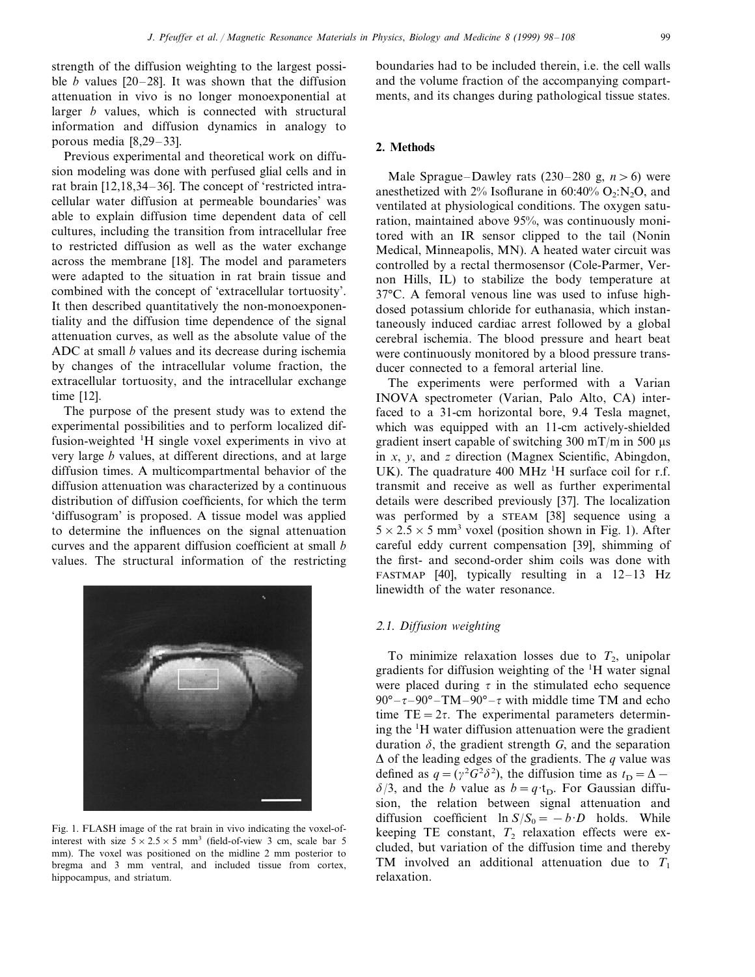strength of the diffusion weighting to the largest possible *b* values  $[20-28]$ . It was shown that the diffusion attenuation in vivo is no longer monoexponential at larger *b* values, which is connected with structural information and diffusion dynamics in analogy to porous media [8,29–33].

Previous experimental and theoretical work on diffusion modeling was done with perfused glial cells and in rat brain [12,18,34–36]. The concept of 'restricted intracellular water diffusion at permeable boundaries' was able to explain diffusion time dependent data of cell cultures, including the transition from intracellular free to restricted diffusion as well as the water exchange across the membrane [18]. The model and parameters were adapted to the situation in rat brain tissue and combined with the concept of 'extracellular tortuosity'. It then described quantitatively the non-monoexponentiality and the diffusion time dependence of the signal attenuation curves, as well as the absolute value of the ADC at small *b* values and its decrease during ischemia by changes of the intracellular volume fraction, the extracellular tortuosity, and the intracellular exchange time [12].

The purpose of the present study was to extend the experimental possibilities and to perform localized diffusion-weighted <sup>1</sup>H single voxel experiments in vivo at very large *b* values, at different directions, and at large diffusion times. A multicompartmental behavior of the diffusion attenuation was characterized by a continuous distribution of diffusion coefficients, for which the term 'diffusogram' is proposed. A tissue model was applied to determine the influences on the signal attenuation curves and the apparent diffusion coefficient at small *b* values. The structural information of the restricting



Fig. 1. FLASH image of the rat brain in vivo indicating the voxel-ofinterest with size  $5 \times 2.5 \times 5$  mm<sup>3</sup> (field-of-view 3 cm, scale bar 5 mm). The voxel was positioned on the midline 2 mm posterior to bregma and 3 mm ventral, and included tissue from cortex, hippocampus, and striatum.

boundaries had to be included therein, i.e. the cell walls and the volume fraction of the accompanying compartments, and its changes during pathological tissue states.

# **2. Methods**

Male Sprague–Dawley rats  $(230-280 \text{ g}, n>6)$  were anesthetized with  $2\%$  Isoflurane in 60:40% O<sub>2</sub>:N<sub>2</sub>O, and ventilated at physiological conditions. The oxygen saturation, maintained above 95%, was continuously monitored with an IR sensor clipped to the tail (Nonin Medical, Minneapolis, MN). A heated water circuit was controlled by a rectal thermosensor (Cole-Parmer, Vernon Hills, IL) to stabilize the body temperature at 37°C. A femoral venous line was used to infuse highdosed potassium chloride for euthanasia, which instantaneously induced cardiac arrest followed by a global cerebral ischemia. The blood pressure and heart beat were continuously monitored by a blood pressure transducer connected to a femoral arterial line.

The experiments were performed with a Varian INOVA spectrometer (Varian, Palo Alto, CA) interfaced to a 31-cm horizontal bore, 9.4 Tesla magnet, which was equipped with an 11-cm actively-shielded gradient insert capable of switching 300 mT/m in 500  $\mu$ s in *x*, *y*, and *z* direction (Magnex Scientific, Abingdon, UK). The quadrature  $400$  MHz <sup>1</sup>H surface coil for r.f. transmit and receive as well as further experimental details were described previously [37]. The localization was performed by a STEAM [38] sequence using a  $5 \times 2.5 \times 5$  mm<sup>3</sup> voxel (position shown in Fig. 1). After careful eddy current compensation [39], shimming of the first- and second-order shim coils was done with FASTMAP [40], typically resulting in a 12–13 Hz linewidth of the water resonance.

## <sup>2</sup>.1. *Diffusion weighting*

To minimize relaxation losses due to  $T_2$ , unipolar gradients for diffusion weighting of the <sup>1</sup>H water signal were placed during  $\tau$  in the stimulated echo sequence  $90^{\circ}$ – $\tau$ – $90^{\circ}$ –TM– $90^{\circ}$ – $\tau$  with middle time TM and echo time TE =  $2\tau$ . The experimental parameters determining the <sup>1</sup> H water diffusion attenuation were the gradient duration  $\delta$ , the gradient strength *G*, and the separation  $\Delta$  of the leading edges of the gradients. The *q* value was defined as  $q = (\gamma^2 G^2 \delta^2)$ , the diffusion time as  $t_D = \Delta \delta/3$ , and the *b* value as  $b = q$ ·t<sub>D</sub>. For Gaussian diffusion, the relation between signal attenuation and diffusion coefficient  $\ln S/S_0 = -b \cdot D$  holds. While keeping TE constant,  $T_2$  relaxation effects were excluded, but variation of the diffusion time and thereby TM involved an additional attenuation due to  $T_1$ relaxation.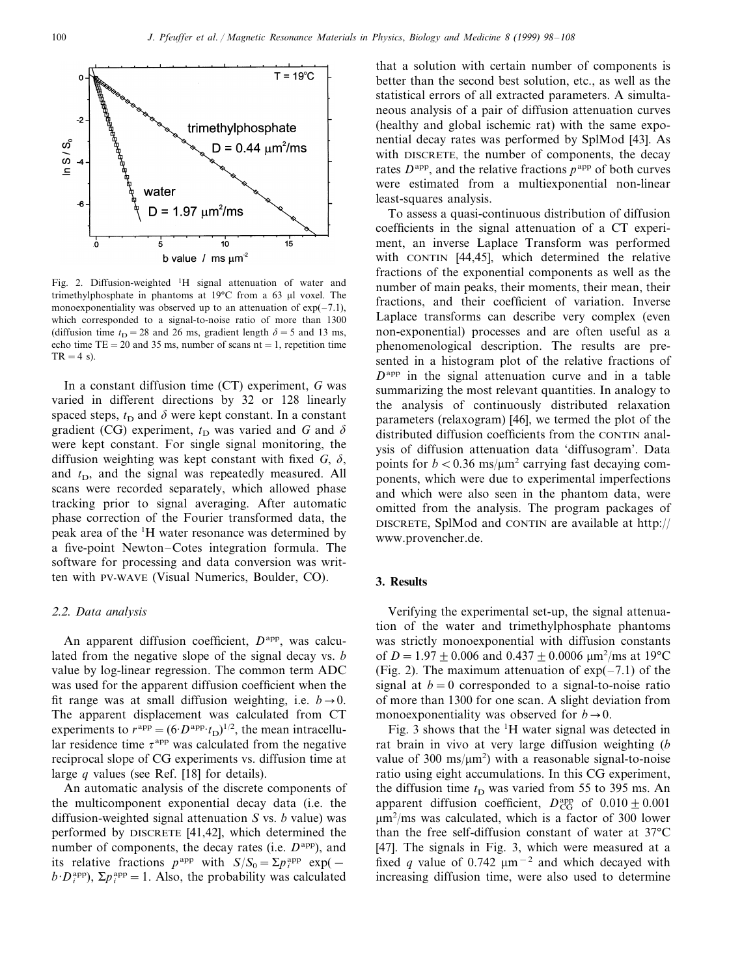

Fig. 2. Diffusion-weighted <sup>1</sup>H signal attenuation of water and trimethylphosphate in phantoms at 19°C from a 63 ml voxel. The monoexponentiality was observed up to an attenuation of  $exp(-7.1)$ , which corresponded to a signal-to-noise ratio of more than 1300 (diffusion time  $t_D = 28$  and 26 ms, gradient length  $\delta = 5$  and 13 ms, echo time  $TE=20$  and 35 ms, number of scans  $nt=1$ , repetition time  $TR = 4$  s).

In a constant diffusion time (CT) experiment, *G* was varied in different directions by 32 or 128 linearly spaced steps,  $t_D$  and  $\delta$  were kept constant. In a constant gradient (CG) experiment,  $t_D$  was varied and *G* and  $\delta$ were kept constant. For single signal monitoring, the diffusion weighting was kept constant with fixed  $G$ ,  $\delta$ , and  $t_D$ , and the signal was repeatedly measured. All scans were recorded separately, which allowed phase tracking prior to signal averaging. After automatic phase correction of the Fourier transformed data, the peak area of the <sup>1</sup>H water resonance was determined by a five-point Newton–Cotes integration formula. The software for processing and data conversion was written with PV-WAVE (Visual Numerics, Boulder, CO).

## <sup>2</sup>.2. *Data analysis*

An apparent diffusion coefficient,  $D^{\text{app}}$ , was calculated from the negative slope of the signal decay vs. *b* value by log-linear regression. The common term ADC was used for the apparent diffusion coefficient when the fit range was at small diffusion weighting, i.e.  $b \rightarrow 0$ . The apparent displacement was calculated from CT experiments to  $r^{\text{app}} = (6 \cdot D^{\text{app}} \cdot t_D)^{1/2}$ , the mean intracellular residence time  $\tau$ <sup>app</sup> was calculated from the negative reciprocal slope of CG experiments vs. diffusion time at large *q* values (see Ref. [18] for details).

An automatic analysis of the discrete components of the multicomponent exponential decay data (i.e. the diffusion-weighted signal attenuation *S* vs. *b* value) was performed by DISCRETE [41,42], which determined the number of components, the decay rates (i.e.  $D^{\text{app}}$ ), and its relative fractions  $p^{\text{app}}$  with  $S/S_0 = \sum p_i^{\text{app}} \exp(-\frac{1}{2}a_i^2)$  $b \cdot D_i^{\text{app}}$ ,  $\Sigma p_i^{\text{app}} = 1$ . Also, the probability was calculated

that a solution with certain number of components is better than the second best solution, etc., as well as the statistical errors of all extracted parameters. A simultaneous analysis of a pair of diffusion attenuation curves (healthy and global ischemic rat) with the same exponential decay rates was performed by SplMod [43]. As with DISCRETE, the number of components, the decay rates  $D^{\text{app}}$ , and the relative fractions  $p^{\text{app}}$  of both curves were estimated from a multiexponential non-linear least-squares analysis.

To assess a quasi-continuous distribution of diffusion coefficients in the signal attenuation of a CT experiment, an inverse Laplace Transform was performed with CONTIN [44,45], which determined the relative fractions of the exponential components as well as the number of main peaks, their moments, their mean, their fractions, and their coefficient of variation. Inverse Laplace transforms can describe very complex (even non-exponential) processes and are often useful as a phenomenological description. The results are presented in a histogram plot of the relative fractions of  $D^{\text{app}}$  in the signal attenuation curve and in a table summarizing the most relevant quantities. In analogy to the analysis of continuously distributed relaxation parameters (relaxogram) [46], we termed the plot of the distributed diffusion coefficients from the CONTIN analysis of diffusion attenuation data 'diffusogram'. Data points for  $b < 0.36$  ms/ $\mu$ m<sup>2</sup> carrying fast decaying components, which were due to experimental imperfections and which were also seen in the phantom data, were omitted from the analysis. The program packages of DISCRETE, SplMod and CONTIN are available at http:// www.provencher.de.

## **3. Results**

Verifying the experimental set-up, the signal attenuation of the water and trimethylphosphate phantoms was strictly monoexponential with diffusion constants of  $D = 1.97 \pm 0.006$  and  $0.437 \pm 0.0006$   $\mu$ m<sup>2</sup>/ms at 19°C (Fig. 2). The maximum attenuation of  $exp(-7.1)$  of the signal at  $b=0$  corresponded to a signal-to-noise ratio of more than 1300 for one scan. A slight deviation from monoexponentiality was observed for  $b \rightarrow 0$ .

Fig. 3 shows that the <sup>1</sup>H water signal was detected in rat brain in vivo at very large diffusion weighting (*b* value of 300 ms/ $\mu$ m<sup>2</sup>) with a reasonable signal-to-noise ratio using eight accumulations. In this CG experiment, the diffusion time  $t_D$  was varied from 55 to 395 ms. An apparent diffusion coefficient,  $D_{\text{CG}}^{\text{app}}$  of  $0.010 \pm 0.001$  $\mu$ m<sup>2</sup>/ms was calculated, which is a factor of 300 lower than the free self-diffusion constant of water at 37°C [47]. The signals in Fig. 3, which were measured at a fixed *q* value of 0.742  $\mu$ m<sup>-2</sup> and which decayed with increasing diffusion time, were also used to determine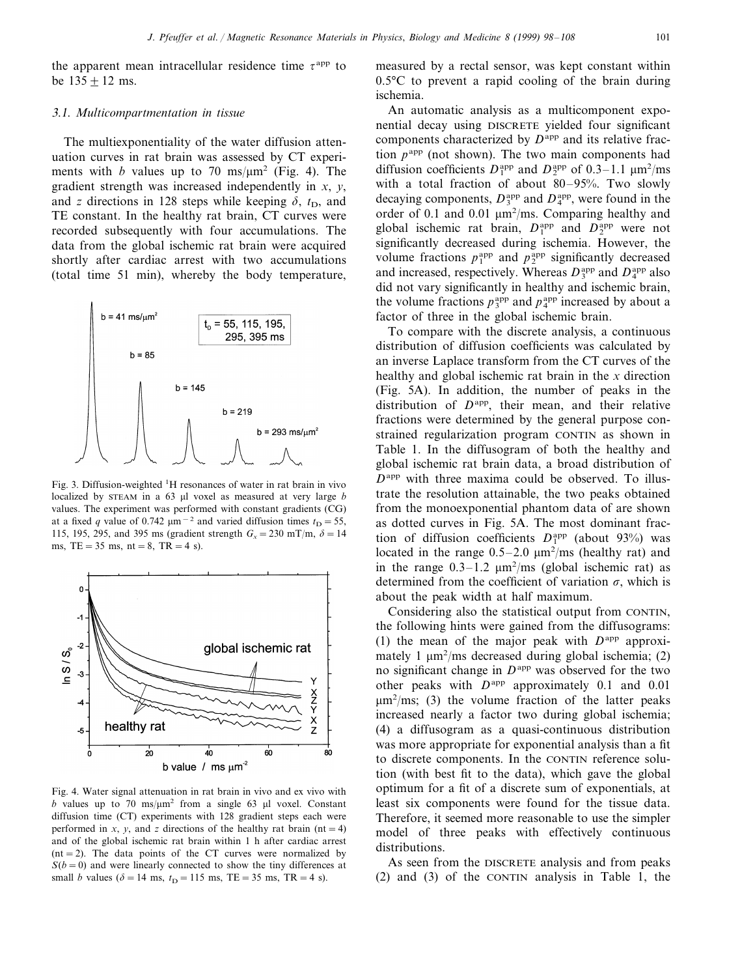the apparent mean intracellular residence time  $\tau^{\text{app}}$  to be  $135 + 12$  ms.

#### 3.1. *Multicompartmentation in tissue*

The multiexponentiality of the water diffusion attenuation curves in rat brain was assessed by CT experiments with *b* values up to 70 ms/ $\mu$ m<sup>2</sup> (Fig. 4). The gradient strength was increased independently in *x*, *y*, and *z* directions in 128 steps while keeping  $\delta$ ,  $t_D$ , and TE constant. In the healthy rat brain, CT curves were recorded subsequently with four accumulations. The data from the global ischemic rat brain were acquired shortly after cardiac arrest with two accumulations (total time 51 min), whereby the body temperature,



Fig. 3. Diffusion-weighted <sup>1</sup>H resonances of water in rat brain in vivo localized by STEAM in a 63 µl voxel as measured at very large *b* values. The experiment was performed with constant gradients (CG) at a fixed *q* value of 0.742  $\mu$ m<sup>-2</sup> and varied diffusion times  $t_D = 55$ , 115, 195, 295, and 395 ms (gradient strength  $G_x = 230$  mT/m,  $\delta = 14$ ms,  $TE=35$  ms,  $nt=8$ ,  $TR=4$  s).



Fig. 4. Water signal attenuation in rat brain in vivo and ex vivo with *b* values up to 70 ms/ $\mu$ m<sup>2</sup> from a single 63  $\mu$ l voxel. Constant diffusion time (CT) experiments with 128 gradient steps each were performed in *x*, *y*, and *z* directions of the healthy rat brain (nt = 4) and of the global ischemic rat brain within 1 h after cardiac arrest  $(nt = 2)$ . The data points of the CT curves were normalized by  $S(b=0)$  and were linearly connected to show the tiny differences at small *b* values ( $\delta = 14$  ms,  $t_D = 115$  ms, TE = 35 ms, TR = 4 s).

measured by a rectal sensor, was kept constant within 0.5°C to prevent a rapid cooling of the brain during ischemia.

An automatic analysis as a multicomponent exponential decay using DISCRETE yielded four significant components characterized by  $D^{\text{app}}$  and its relative fraction  $p^{app}$  (not shown). The two main components had diffusion coefficients  $D_1^{\text{app}}$  and  $D_2^{\text{app}}$  of 0.3–1.1  $\mu$ m<sup>2</sup>/ms with a total fraction of about 80–95%. Two slowly decaying components,  $D_3^{\text{app}}$  and  $D_4^{\text{app}}$ , were found in the order of 0.1 and 0.01  $\mu$ m<sup>2</sup>/ms. Comparing healthy and global ischemic rat brain,  $D_1^{\text{app}}$  and  $D_2^{\text{app}}$  were not significantly decreased during ischemia. However, the volume fractions  $p_1^{\text{app}}$  and  $p_2^{\text{app}}$  significantly decreased and increased, respectively. Whereas  $D_3^{\text{app}}$  and  $D_4^{\text{app}}$  also did not vary significantly in healthy and ischemic brain, the volume fractions  $p_3^{\text{app}}$  and  $p_4^{\text{app}}$  increased by about a factor of three in the global ischemic brain.

To compare with the discrete analysis, a continuous distribution of diffusion coefficients was calculated by an inverse Laplace transform from the CT curves of the healthy and global ischemic rat brain in the *x* direction (Fig. 5A). In addition, the number of peaks in the distribution of  $D^{\text{app}}$ , their mean, and their relative fractions were determined by the general purpose constrained regularization program CONTIN as shown in Table 1. In the diffusogram of both the healthy and global ischemic rat brain data, a broad distribution of *D*app with three maxima could be observed. To illustrate the resolution attainable, the two peaks obtained from the monoexponential phantom data of are shown as dotted curves in Fig. 5A. The most dominant fraction of diffusion coefficients  $D_1^{\text{app}}$  (about 93%) was located in the range  $0.5-2.0 \mu m^2/ms$  (healthy rat) and in the range  $0.3-1.2 \mu m^2/ms$  (global ischemic rat) as determined from the coefficient of variation  $\sigma$ , which is about the peak width at half maximum.

Considering also the statistical output from CONTIN, the following hints were gained from the diffusograms: (1) the mean of the major peak with  $D^{\text{app}}$  approximately 1  $\mu$ m<sup>2</sup>/ms decreased during global ischemia; (2) no significant change in *D*app was observed for the two other peaks with  $D^{\text{app}}$  approximately 0.1 and 0.01  $\mu$ m<sup>2</sup>/ms; (3) the volume fraction of the latter peaks increased nearly a factor two during global ischemia; (4) a diffusogram as a quasi-continuous distribution was more appropriate for exponential analysis than a fit to discrete components. In the CONTIN reference solution (with best fit to the data), which gave the global optimum for a fit of a discrete sum of exponentials, at least six components were found for the tissue data. Therefore, it seemed more reasonable to use the simpler model of three peaks with effectively continuous distributions.

As seen from the DISCRETE analysis and from peaks (2) and (3) of the CONTIN analysis in Table 1, the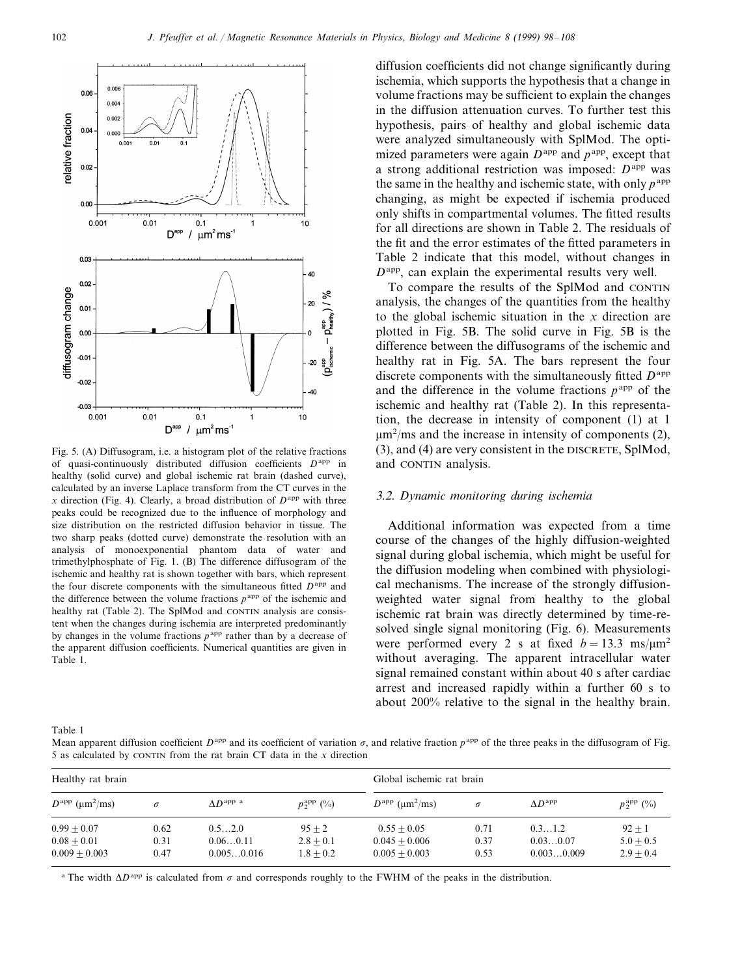

Fig. 5. (A) Diffusogram, i.e. a histogram plot of the relative fractions of quasi-continuously distributed diffusion coefficients  $D^{\text{app}}$  in healthy (solid curve) and global ischemic rat brain (dashed curve), calculated by an inverse Laplace transform from the CT curves in the  $x$  direction (Fig. 4). Clearly, a broad distribution of  $D^{\text{app}}$  with three peaks could be recognized due to the influence of morphology and size distribution on the restricted diffusion behavior in tissue. The two sharp peaks (dotted curve) demonstrate the resolution with an analysis of monoexponential phantom data of water and trimethylphosphate of Fig. 1. (B) The difference diffusogram of the ischemic and healthy rat is shown together with bars, which represent the four discrete components with the simultaneous fitted  $D^{\text{app}}$  and the difference between the volume fractions  $p^{\text{app}}$  of the ischemic and healthy rat (Table 2). The SplMod and CONTIN analysis are consistent when the changes during ischemia are interpreted predominantly by changes in the volume fractions  $p^{\text{app}}$  rather than by a decrease of the apparent diffusion coefficients. Numerical quantities are given in Table 1.

diffusion coefficients did not change significantly during ischemia, which supports the hypothesis that a change in volume fractions may be sufficient to explain the changes in the diffusion attenuation curves. To further test this hypothesis, pairs of healthy and global ischemic data were analyzed simultaneously with SplMod. The optimized parameters were again  $D^{\text{app}}$  and  $p^{\text{app}}$ , except that a strong additional restriction was imposed:  $D^{\text{app}}$  was the same in the healthy and ischemic state, with only  $p^{app}$ changing, as might be expected if ischemia produced only shifts in compartmental volumes. The fitted results for all directions are shown in Table 2. The residuals of the fit and the error estimates of the fitted parameters in Table 2 indicate that this model, without changes in  $D^{\text{app}}$ , can explain the experimental results very well.

To compare the results of the SplMod and CONTIN analysis, the changes of the quantities from the healthy to the global ischemic situation in the *x* direction are plotted in Fig. 5B. The solid curve in Fig. 5B is the difference between the diffusograms of the ischemic and healthy rat in Fig. 5A. The bars represent the four discrete components with the simultaneously fitted  $D^{\text{app}}$ and the difference in the volume fractions  $p^{app}$  of the ischemic and healthy rat (Table 2). In this representation, the decrease in intensity of component (1) at 1  $\mu$ m<sup>2</sup>/ms and the increase in intensity of components (2), (3), and (4) are very consistent in the DISCRETE, SplMod, and CONTIN analysis.

## 3.2. *Dynamic monitoring during ischemia*

Additional information was expected from a time course of the changes of the highly diffusion-weighted signal during global ischemia, which might be useful for the diffusion modeling when combined with physiological mechanisms. The increase of the strongly diffusionweighted water signal from healthy to the global ischemic rat brain was directly determined by time-resolved single signal monitoring (Fig. 6). Measurements were performed every 2 s at fixed  $b=13.3$  ms/ $\mu$ m<sup>2</sup> without averaging. The apparent intracellular water signal remained constant within about 40 s after cardiac arrest and increased rapidly within a further 60 s to about 200% relative to the signal in the healthy brain.

| × |  |
|---|--|
|   |  |

Mean apparent diffusion coefficient  $D^{\text{app}}$  and its coefficient of variation  $\sigma$ , and relative fraction  $p^{\text{app}}$  of the three peaks in the diffusogram of Fig. 5 as calculated by CONTIN from the rat brain CT data in the *x* direction

| Healthy rat brain |              |                     | Global ischemic rat brain                 |                 |            |                            |
|-------------------|--------------|---------------------|-------------------------------------------|-----------------|------------|----------------------------|
| $\sigma$          | $AD^{app}$ a | $p_2^{\rm app} (%)$ | $D^{\rm app}$ ( $\mu$ m <sup>2</sup> /ms) | $\sigma$        | $AD^{app}$ | $p_2^{\rm app}$ (%)        |
| 0.62              | 0.52.0       | $95 + 2$            | $0.55 + 0.05$                             | 0.71            | 0.31.2     | $92 + 1$                   |
| 0.31              | 0.060.11     | $2.8 + 0.1$         | $0.045 + 0.006$                           | 0.37            | 0.030.07   | $5.0 + 0.5$<br>$2.9 + 0.4$ |
|                   | 0.47         | 0.0050.016          | $1.8 + 0.2$                               | $0.005 + 0.003$ | 0.53       | 0.0030.009                 |

<sup>a</sup> The width  $\Delta D^{app}$  is calculated from  $\sigma$  and corresponds roughly to the FWHM of the peaks in the distribution.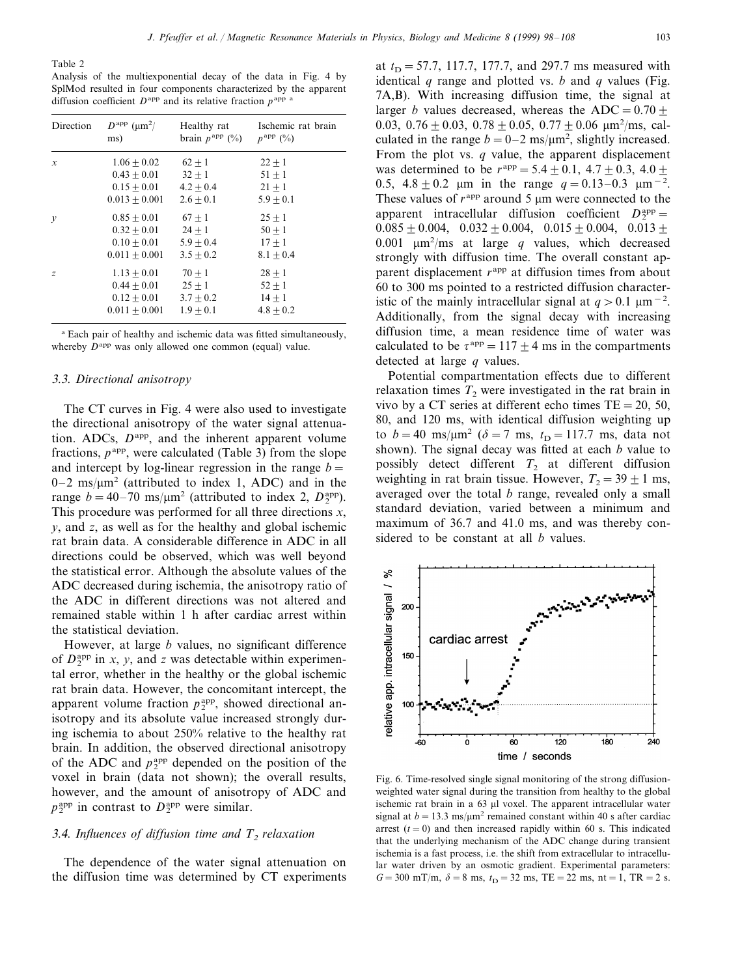Table 2

Analysis of the multiexponential decay of the data in Fig. 4 by SplMod resulted in four components characterized by the apparent diffusion coefficient  $D^{\text{app}}$  and its relative fraction  $p^{\text{app}}$  a

| Direction     | $D^{\rm app}$ (um <sup>2</sup> )<br>ms) | Healthy rat<br>brain $p^{\text{app}}$ (%) | Ischemic rat brain<br>$p^{\text{app}}$ (%) |
|---------------|-----------------------------------------|-------------------------------------------|--------------------------------------------|
| $\mathcal{X}$ | $1.06 + 0.02$                           | $62 + 1$                                  | $22 + 1$                                   |
|               | $0.43 + 0.01$                           | $32 + 1$                                  | $51 + 1$                                   |
|               | $0.15 + 0.01$                           | $4.2 + 0.4$                               | $21 + 1$                                   |
|               | $0.013 + 0.001$                         | $2.6 + 0.1$                               | $5.9 + 0.1$                                |
| у             | $0.85 + 0.01$                           | $67 + 1$                                  | $25 + 1$                                   |
|               | $0.32 + 0.01$                           | $24 + 1$                                  | $50 + 1$                                   |
|               | $0.10 + 0.01$                           | $5.9 + 0.4$                               | $17 + 1$                                   |
|               | $0.011 + 0.001$                         | $3.5 + 0.2$                               | $8.1 + 0.4$                                |
| $\mathcal{Z}$ | $1.13 + 0.01$                           | $70 + 1$                                  | $28 + 1$                                   |
|               | $0.44 + 0.01$                           | $25 + 1$                                  | $52 + 1$                                   |
|               | $0.12 + 0.01$                           | $3.7 + 0.2$                               | $14 + 1$                                   |
|               | $0.011 + 0.001$                         | $1.9 + 0.1$                               | $4.8 + 0.2$                                |

<sup>a</sup> Each pair of healthy and ischemic data was fitted simultaneously, whereby  $D^{\text{app}}$  was only allowed one common (equal) value.

# 3.3. *Directional anisotropy*

The CT curves in Fig. 4 were also used to investigate the directional anisotropy of the water signal attenuation. ADCs,  $D^{app}$ , and the inherent apparent volume fractions,  $p^{app}$ , were calculated (Table 3) from the slope and intercept by log-linear regression in the range  $b=$  $0-2$  ms/ $\mu$ m<sup>2</sup> (attributed to index 1, ADC) and in the range  $b = 40-70$  ms/ $\mu$ m<sup>2</sup> (attributed to index 2,  $D_2^{\text{app}}$ ). This procedure was performed for all three directions *x*, *y*, and *z*, as well as for the healthy and global ischemic rat brain data. A considerable difference in ADC in all directions could be observed, which was well beyond the statistical error. Although the absolute values of the ADC decreased during ischemia, the anisotropy ratio of the ADC in different directions was not altered and remained stable within 1 h after cardiac arrest within the statistical deviation.

However, at large *b* values, no significant difference of  $D_2^{\text{app}}$  in *x*, *y*, and *z* was detectable within experimental error, whether in the healthy or the global ischemic rat brain data. However, the concomitant intercept, the apparent volume fraction  $p_2^{\text{app}}$ , showed directional anisotropy and its absolute value increased strongly during ischemia to about 250% relative to the healthy rat brain. In addition, the observed directional anisotropy of the ADC and  $p_2^{\text{app}}$  depended on the position of the voxel in brain (data not shown); the overall results, however, and the amount of anisotropy of ADC and  $p_2^{\text{app}}$  in contrast to  $D_2^{\text{app}}$  were similar.

# 3.4. Influences of diffusion time and  $T_2$  relaxation

The dependence of the water signal attenuation on the diffusion time was determined by CT experiments at  $t_D = 57.7$ , 117.7, 177.7, and 297.7 ms measured with identical *q* range and plotted vs. *b* and *q* values (Fig. 7A,B). With increasing diffusion time, the signal at larger *b* values decreased, whereas the  $ADC = 0.70 +$ 0.03, 0.76  $\pm$  0.03, 0.78  $\pm$  0.05, 0.77  $\pm$  0.06  $\mu$ m<sup>2</sup>/ms, calculated in the range  $b = 0-2$  ms/ $\mu$ m<sup>2</sup>, slightly increased. From the plot vs. *q* value, the apparent displacement was determined to be  $r^{app} = 5.4 \pm 0.1$ ,  $4.7 \pm 0.3$ ,  $4.0 \pm 0.9$ 0.5,  $4.8 \pm 0.2$  µm in the range  $q = 0.13-0.3$  µm<sup>-2</sup>. These values of  $r^{app}$  around 5  $\mu$ m were connected to the apparent intracellular diffusion coefficient  $D_2^{\text{app}} =$  $0.085 + 0.004$ ,  $0.032 + 0.004$ ,  $0.015 + 0.004$ ,  $0.013 +$ 0.001  $\mu$ m<sup>2</sup>/ms at large *q* values, which decreased strongly with diffusion time. The overall constant apparent displacement  $r^{app}$  at diffusion times from about 60 to 300 ms pointed to a restricted diffusion characteristic of the mainly intracellular signal at  $q > 0.1$  μm<sup>−2</sup>. Additionally, from the signal decay with increasing diffusion time, a mean residence time of water was calculated to be  $\tau^{\text{app}} = 117 \pm 4 \text{ ms}$  in the compartments detected at large *q* values.

Potential compartmentation effects due to different relaxation times  $T_2$  were investigated in the rat brain in vivo by a CT series at different echo times  $TE = 20, 50,$ 80, and 120 ms, with identical diffusion weighting up to  $b = 40$  ms/ $\mu$ m<sup>2</sup> ( $\delta = 7$  ms,  $t_D = 117.7$  ms, data not shown). The signal decay was fitted at each *b* value to possibly detect different  $T_2$  at different diffusion weighting in rat brain tissue. However,  $T_2 = 39 \pm 1$  ms, averaged over the total *b* range, revealed only a small standard deviation, varied between a minimum and maximum of 36.7 and 41.0 ms, and was thereby considered to be constant at all *b* values.



Fig. 6. Time-resolved single signal monitoring of the strong diffusionweighted water signal during the transition from healthy to the global ischemic rat brain in a 63 µl voxel. The apparent intracellular water signal at  $b = 13.3$  ms/ $\mu$ m<sup>2</sup> remained constant within 40 s after cardiac arrest  $(t = 0)$  and then increased rapidly within 60 s. This indicated that the underlying mechanism of the ADC change during transient ischemia is a fast process, i.e. the shift from extracellular to intracellular water driven by an osmotic gradient. Experimental parameters:  $G = 300$  mT/m,  $\delta = 8$  ms,  $t_D = 32$  ms, TE = 22 ms, nt = 1, TR = 2 s.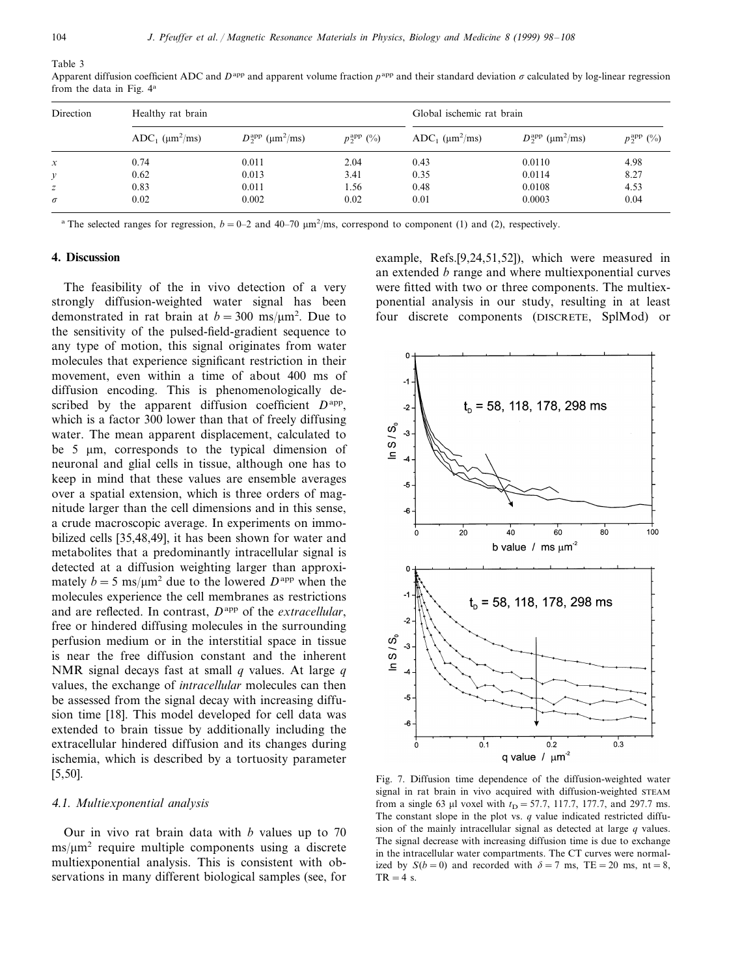Table 3

Apparent diffusion coefficient ADC and  $D^{app}$  and apparent volume fraction  $p^{app}$  and their standard deviation  $\sigma$  calculated by log-linear regression from the data in Fig.  $4^a$ 

| Direction     | Healthy rat brain                   |                                             |                     |                                     | Global ischemic rat brain                   |                     |  |
|---------------|-------------------------------------|---------------------------------------------|---------------------|-------------------------------------|---------------------------------------------|---------------------|--|
|               | $ADC_1$ ( $\mu$ m <sup>2</sup> /ms) | $D_2^{\rm app}$ ( $\mu$ m <sup>2</sup> /ms) | $p_2^{\rm app}$ (%) | $ADC_1$ ( $\mu$ m <sup>2</sup> /ms) | $D_2^{\rm app}$ ( $\mu$ m <sup>2</sup> /ms) | $p_2^{\rm app}$ (%) |  |
| $\mathcal{X}$ | 0.74                                | 0.011                                       | 2.04                | 0.43                                | 0.0110                                      | 4.98                |  |
| у             | 0.62                                | 0.013                                       | 3.41                | 0.35                                | 0.0114                                      | 8.27                |  |
| Z             | 0.83                                | 0.011                                       | 1.56                | 0.48                                | 0.0108                                      | 4.53                |  |
| $\sigma$      | 0.02                                | 0.002                                       | 0.02                | 0.01                                | 0.0003                                      | 0.04                |  |

<sup>a</sup> The selected ranges for regression,  $b = 0-2$  and 40–70  $\mu$ m<sup>2</sup>/ms, correspond to component (1) and (2), respectively.

## **4. Discussion**

The feasibility of the in vivo detection of a very strongly diffusion-weighted water signal has been demonstrated in rat brain at  $b = 300 \text{ ms}/\mu\text{m}^2$ . Due to the sensitivity of the pulsed-field-gradient sequence to any type of motion, this signal originates from water molecules that experience significant restriction in their movement, even within a time of about 400 ms of diffusion encoding. This is phenomenologically described by the apparent diffusion coefficient  $D^{\text{app}}$ , which is a factor 300 lower than that of freely diffusing water. The mean apparent displacement, calculated to be  $5 \mu m$ , corresponds to the typical dimension of neuronal and glial cells in tissue, although one has to keep in mind that these values are ensemble averages over a spatial extension, which is three orders of magnitude larger than the cell dimensions and in this sense, a crude macroscopic average. In experiments on immobilized cells [35,48,49], it has been shown for water and metabolites that a predominantly intracellular signal is detected at a diffusion weighting larger than approximately  $b = 5$  ms/ $\mu$ m<sup>2</sup> due to the lowered  $D^{\text{app}}$  when the molecules experience the cell membranes as restrictions and are reflected. In contrast, *D*app of the *extracellular*, free or hindered diffusing molecules in the surrounding perfusion medium or in the interstitial space in tissue is near the free diffusion constant and the inherent NMR signal decays fast at small *q* values. At large *q* values, the exchange of *intracellular* molecules can then be assessed from the signal decay with increasing diffusion time [18]. This model developed for cell data was extended to brain tissue by additionally including the extracellular hindered diffusion and its changes during ischemia, which is described by a tortuosity parameter [5,50].

# <sup>4</sup>.1. *Multiexponential analysis*

Our in vivo rat brain data with *b* values up to 70  $\text{ms}/\mu\text{m}^2$  require multiple components using a discrete multiexponential analysis. This is consistent with observations in many different biological samples (see, for example, Refs.[9,24,51,52]), which were measured in an extended *b* range and where multiexponential curves were fitted with two or three components. The multiexponential analysis in our study, resulting in at least four discrete components (DISCRETE, SplMod) or



Fig. 7. Diffusion time dependence of the diffusion-weighted water signal in rat brain in vivo acquired with diffusion-weighted STEAM from a single 63  $\mu$ l voxel with  $t_D = 57.7$ , 117.7, 177.7, and 297.7 ms. The constant slope in the plot vs. *q* value indicated restricted diffusion of the mainly intracellular signal as detected at large *q* values. The signal decrease with increasing diffusion time is due to exchange in the intracellular water compartments. The CT curves were normalized by  $S(b=0)$  and recorded with  $\delta = 7$  ms, TE = 20 ms, nt = 8,  $TR=4$  s.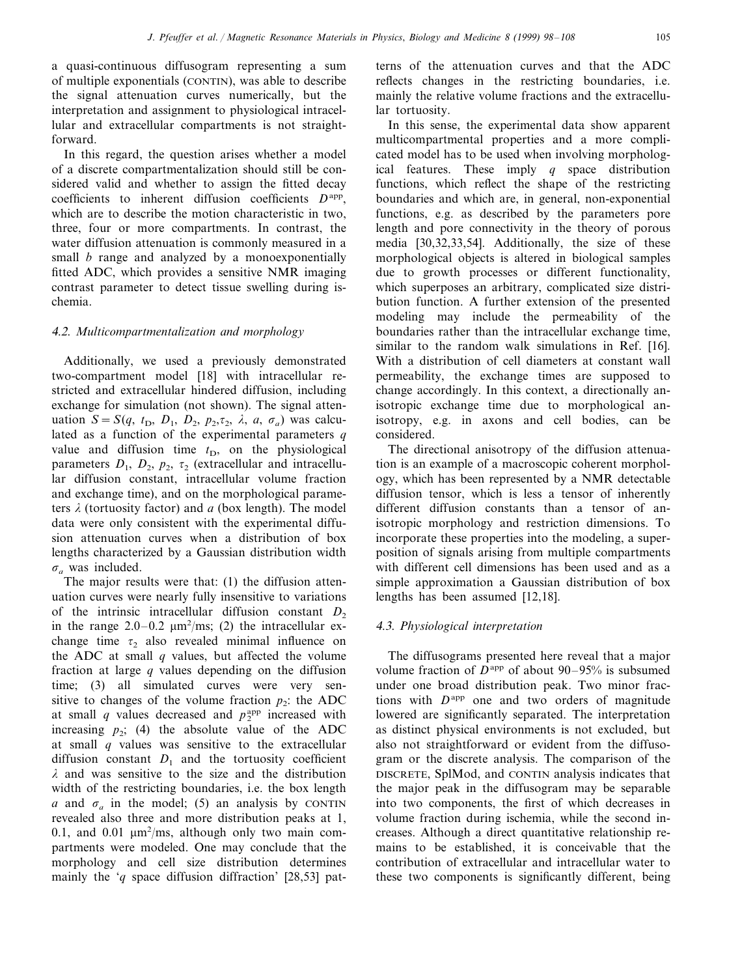a quasi-continuous diffusogram representing a sum of multiple exponentials (CONTIN), was able to describe the signal attenuation curves numerically, but the interpretation and assignment to physiological intracellular and extracellular compartments is not straightforward.

In this regard, the question arises whether a model of a discrete compartmentalization should still be considered valid and whether to assign the fitted decay coefficients to inherent diffusion coefficients  $D^{\text{app}}$ , which are to describe the motion characteristic in two, three, four or more compartments. In contrast, the water diffusion attenuation is commonly measured in a small *b* range and analyzed by a monoexponentially fitted ADC, which provides a sensitive NMR imaging contrast parameter to detect tissue swelling during ischemia.

# <sup>4</sup>.2. *Multicompartmentalization and morphology*

Additionally, we used a previously demonstrated two-compartment model [18] with intracellular restricted and extracellular hindered diffusion, including exchange for simulation (not shown). The signal attenuation  $S = S(q, t_D, D_1, D_2, p_2, \tau_2, \lambda, a, \sigma_a)$  was calculated as a function of the experimental parameters *q* value and diffusion time  $t<sub>D</sub>$ , on the physiological parameters  $D_1$ ,  $D_2$ ,  $p_2$ ,  $\tau_2$  (extracellular and intracellular diffusion constant, intracellular volume fraction and exchange time), and on the morphological parameters  $\lambda$  (tortuosity factor) and *a* (box length). The model data were only consistent with the experimental diffusion attenuation curves when a distribution of box lengths characterized by a Gaussian distribution width  $\sigma_a$  was included.

The major results were that: (1) the diffusion attenuation curves were nearly fully insensitive to variations of the intrinsic intracellular diffusion constant  $D<sub>2</sub>$ in the range  $2.0-0.2 \mu m^2/ms$ ; (2) the intracellular exchange time  $\tau_2$  also revealed minimal influence on the ADC at small *q* values, but affected the volume fraction at large *q* values depending on the diffusion time; (3) all simulated curves were very sensitive to changes of the volume fraction  $p_2$ : the ADC at small *q* values decreased and  $p_2^{\text{app}}$  increased with increasing  $p_2$ ; (4) the absolute value of the ADC at small *q* values was sensitive to the extracellular diffusion constant  $D_1$  and the tortuosity coefficient  $\lambda$  and was sensitive to the size and the distribution width of the restricting boundaries, i.e. the box length *a* and  $\sigma_a$  in the model; (5) an analysis by CONTIN revealed also three and more distribution peaks at 1, 0.1, and 0.01  $\mu$ m<sup>2</sup>/ms, although only two main compartments were modeled. One may conclude that the morphology and cell size distribution determines mainly the '*q* space diffusion diffraction' [28,53] patterns of the attenuation curves and that the ADC reflects changes in the restricting boundaries, i.e. mainly the relative volume fractions and the extracellular tortuosity.

In this sense, the experimental data show apparent multicompartmental properties and a more complicated model has to be used when involving morphological features. These imply *q* space distribution functions, which reflect the shape of the restricting boundaries and which are, in general, non-exponential functions, e.g. as described by the parameters pore length and pore connectivity in the theory of porous media [30,32,33,54]. Additionally, the size of these morphological objects is altered in biological samples due to growth processes or different functionality, which superposes an arbitrary, complicated size distribution function. A further extension of the presented modeling may include the permeability of the boundaries rather than the intracellular exchange time, similar to the random walk simulations in Ref. [16]. With a distribution of cell diameters at constant wall permeability, the exchange times are supposed to change accordingly. In this context, a directionally anisotropic exchange time due to morphological anisotropy, e.g. in axons and cell bodies, can be considered.

The directional anisotropy of the diffusion attenuation is an example of a macroscopic coherent morphology, which has been represented by a NMR detectable diffusion tensor, which is less a tensor of inherently different diffusion constants than a tensor of anisotropic morphology and restriction dimensions. To incorporate these properties into the modeling, a superposition of signals arising from multiple compartments with different cell dimensions has been used and as a simple approximation a Gaussian distribution of box lengths has been assumed [12,18].

## <sup>4</sup>.3. *Physiological interpretation*

The diffusograms presented here reveal that a major volume fraction of  $D^{\text{app}}$  of about 90–95% is subsumed under one broad distribution peak. Two minor fractions with  $D^{\text{app}}$  one and two orders of magnitude lowered are significantly separated. The interpretation as distinct physical environments is not excluded, but also not straightforward or evident from the diffusogram or the discrete analysis. The comparison of the DISCRETE, SplMod, and CONTIN analysis indicates that the major peak in the diffusogram may be separable into two components, the first of which decreases in volume fraction during ischemia, while the second increases. Although a direct quantitative relationship remains to be established, it is conceivable that the contribution of extracellular and intracellular water to these two components is significantly different, being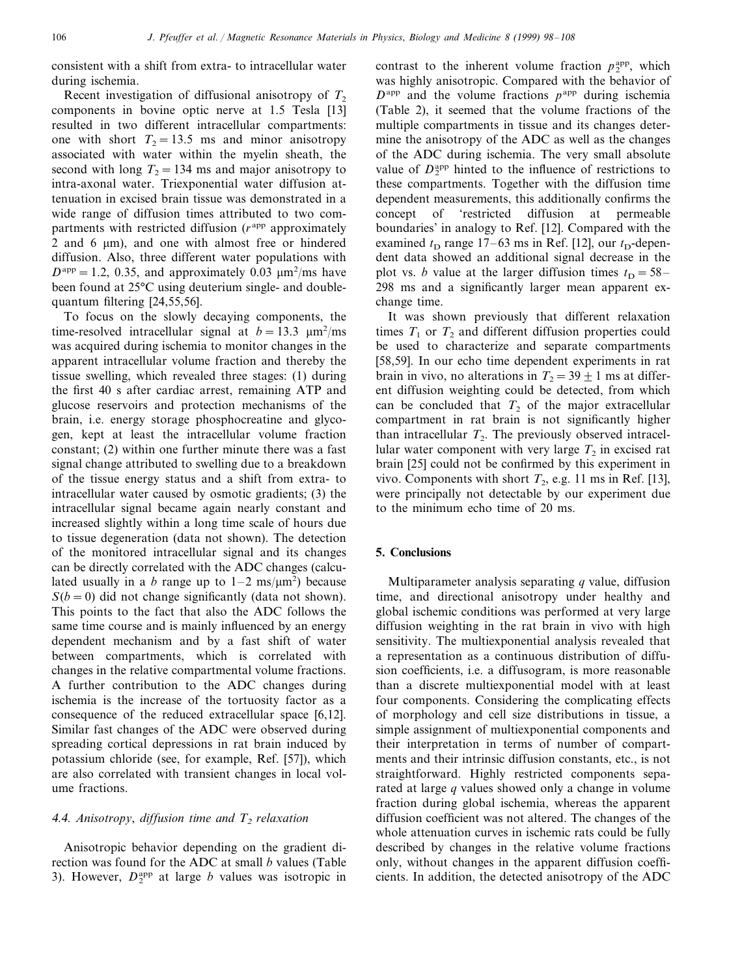consistent with a shift from extra- to intracellular water during ischemia.

Recent investigation of diffusional anisotropy of  $T_2$ components in bovine optic nerve at 1.5 Tesla [13] resulted in two different intracellular compartments: one with short  $T_2 = 13.5$  ms and minor anisotropy associated with water within the myelin sheath, the second with long  $T_2 = 134$  ms and major anisotropy to intra-axonal water. Triexponential water diffusion attenuation in excised brain tissue was demonstrated in a wide range of diffusion times attributed to two compartments with restricted diffusion  $(r<sup>app</sup>$  approximately 2 and 6 um), and one with almost free or hindered diffusion. Also, three different water populations with  $D^{\text{app}} = 1.2$ , 0.35, and approximately 0.03  $\mu$ m<sup>2</sup>/ms have been found at 25°C using deuterium single- and doublequantum filtering [24,55,56].

To focus on the slowly decaying components, the time-resolved intracellular signal at  $b = 13.3 \mu m^2/ms$ was acquired during ischemia to monitor changes in the apparent intracellular volume fraction and thereby the tissue swelling, which revealed three stages: (1) during the first 40 s after cardiac arrest, remaining ATP and glucose reservoirs and protection mechanisms of the brain, i.e. energy storage phosphocreatine and glycogen, kept at least the intracellular volume fraction constant; (2) within one further minute there was a fast signal change attributed to swelling due to a breakdown of the tissue energy status and a shift from extra- to intracellular water caused by osmotic gradients; (3) the intracellular signal became again nearly constant and increased slightly within a long time scale of hours due to tissue degeneration (data not shown). The detection of the monitored intracellular signal and its changes can be directly correlated with the ADC changes (calculated usually in a *b* range up to  $1-2 \text{ ms}/\mu\text{m}^2$ ) because  $S(b=0)$  did not change significantly (data not shown). This points to the fact that also the ADC follows the same time course and is mainly influenced by an energy dependent mechanism and by a fast shift of water between compartments, which is correlated with changes in the relative compartmental volume fractions. A further contribution to the ADC changes during ischemia is the increase of the tortuosity factor as a consequence of the reduced extracellular space [6,12]. Similar fast changes of the ADC were observed during spreading cortical depressions in rat brain induced by potassium chloride (see, for example, Ref. [57]), which are also correlated with transient changes in local volume fractions.

# 4.4. Anisotropy, diffusion time and  $T_2$  relaxation

Anisotropic behavior depending on the gradient direction was found for the ADC at small *b* values (Table 3). However,  $D_2^{\text{app}}$  at large *b* values was isotropic in

contrast to the inherent volume fraction  $p_2^{\text{app}}$ , which was highly anisotropic. Compared with the behavior of  $D^{\text{app}}$  and the volume fractions  $p^{\text{app}}$  during ischemia (Table 2), it seemed that the volume fractions of the multiple compartments in tissue and its changes determine the anisotropy of the ADC as well as the changes of the ADC during ischemia. The very small absolute value of  $D_2^{\text{app}}$  hinted to the influence of restrictions to these compartments. Together with the diffusion time dependent measurements, this additionally confirms the concept of 'restricted diffusion at permeable boundaries' in analogy to Ref. [12]. Compared with the examined  $t_D$  range 17–63 ms in Ref. [12], our  $t_D$ -dependent data showed an additional signal decrease in the plot vs. *b* value at the larger diffusion times  $t_D = 58$ – 298 ms and a significantly larger mean apparent exchange time.

It was shown previously that different relaxation times  $T_1$  or  $T_2$  and different diffusion properties could be used to characterize and separate compartments [58,59]. In our echo time dependent experiments in rat brain in vivo, no alterations in  $T_2 = 39 \pm 1$  ms at different diffusion weighting could be detected, from which can be concluded that  $T_2$  of the major extracellular compartment in rat brain is not significantly higher than intracellular  $T_2$ . The previously observed intracellular water component with very large  $T_2$  in excised rat brain [25] could not be confirmed by this experiment in vivo. Components with short  $T_2$ , e.g. 11 ms in Ref. [13], were principally not detectable by our experiment due to the minimum echo time of 20 ms.

## **5. Conclusions**

Multiparameter analysis separating *q* value, diffusion time, and directional anisotropy under healthy and global ischemic conditions was performed at very large diffusion weighting in the rat brain in vivo with high sensitivity. The multiexponential analysis revealed that a representation as a continuous distribution of diffusion coefficients, i.e. a diffusogram, is more reasonable than a discrete multiexponential model with at least four components. Considering the complicating effects of morphology and cell size distributions in tissue, a simple assignment of multiexponential components and their interpretation in terms of number of compartments and their intrinsic diffusion constants, etc., is not straightforward. Highly restricted components separated at large *q* values showed only a change in volume fraction during global ischemia, whereas the apparent diffusion coefficient was not altered. The changes of the whole attenuation curves in ischemic rats could be fully described by changes in the relative volume fractions only, without changes in the apparent diffusion coefficients. In addition, the detected anisotropy of the ADC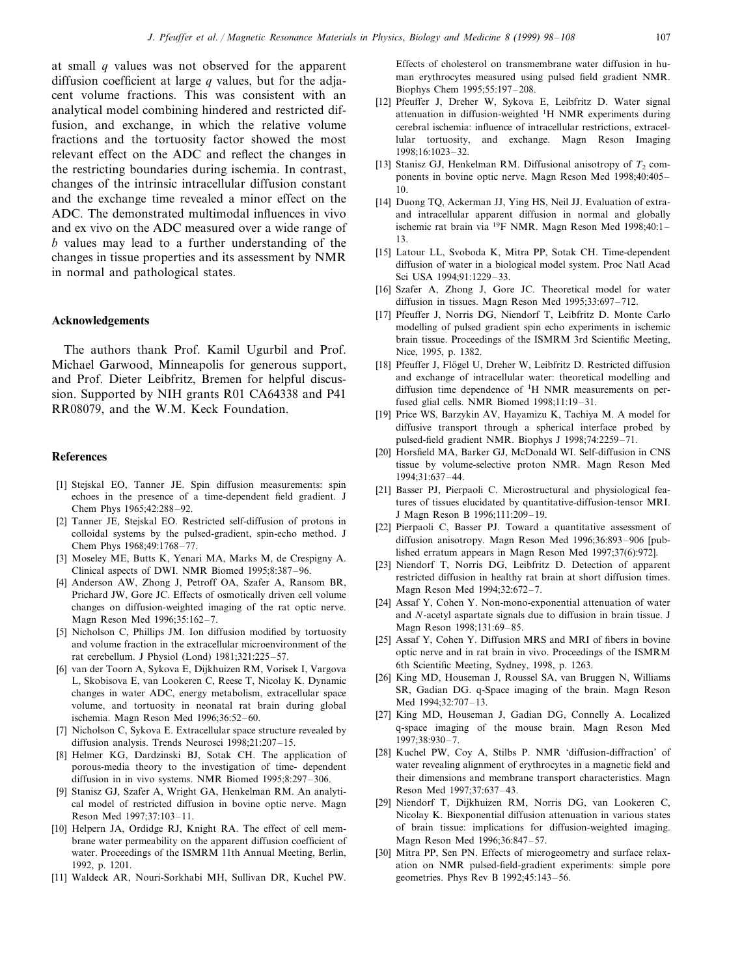at small *q* values was not observed for the apparent diffusion coefficient at large *q* values, but for the adjacent volume fractions. This was consistent with an analytical model combining hindered and restricted diffusion, and exchange, in which the relative volume fractions and the tortuosity factor showed the most relevant effect on the ADC and reflect the changes in the restricting boundaries during ischemia. In contrast, changes of the intrinsic intracellular diffusion constant and the exchange time revealed a minor effect on the ADC. The demonstrated multimodal influences in vivo and ex vivo on the ADC measured over a wide range of *b* values may lead to a further understanding of the changes in tissue properties and its assessment by NMR in normal and pathological states.

## **Acknowledgements**

The authors thank Prof. Kamil Ugurbil and Prof. Michael Garwood, Minneapolis for generous support, and Prof. Dieter Leibfritz, Bremen for helpful discussion. Supported by NIH grants R01 CA64338 and P41 RR08079, and the W.M. Keck Foundation.

## **References**

- [1] Stejskal EO, Tanner JE. Spin diffusion measurements: spin echoes in the presence of a time-dependent field gradient. J Chem Phys 1965;42:288–92.
- [2] Tanner JE, Stejskal EO. Restricted self-diffusion of protons in colloidal systems by the pulsed-gradient, spin-echo method. J Chem Phys 1968;49:1768–77.
- [3] Moseley ME, Butts K, Yenari MA, Marks M, de Crespigny A. Clinical aspects of DWI. NMR Biomed 1995;8:387–96.
- [4] Anderson AW, Zhong J, Petroff OA, Szafer A, Ransom BR, Prichard JW, Gore JC. Effects of osmotically driven cell volume changes on diffusion-weighted imaging of the rat optic nerve. Magn Reson Med 1996;35:162–7.
- [5] Nicholson C, Phillips JM. Ion diffusion modified by tortuosity and volume fraction in the extracellular microenvironment of the rat cerebellum. J Physiol (Lond) 1981;321:225–57.
- [6] van der Toorn A, Sykova E, Dijkhuizen RM, Vorisek I, Vargova L, Skobisova E, van Lookeren C, Reese T, Nicolay K. Dynamic changes in water ADC, energy metabolism, extracellular space volume, and tortuosity in neonatal rat brain during global ischemia. Magn Reson Med 1996;36:52–60.
- [7] Nicholson C, Sykova E. Extracellular space structure revealed by diffusion analysis. Trends Neurosci 1998;21:207–15.
- [8] Helmer KG, Dardzinski BJ, Sotak CH. The application of porous-media theory to the investigation of time- dependent diffusion in in vivo systems. NMR Biomed 1995;8:297–306.
- [9] Stanisz GJ, Szafer A, Wright GA, Henkelman RM. An analytical model of restricted diffusion in bovine optic nerve. Magn Reson Med 1997;37:103–11.
- [10] Helpern JA, Ordidge RJ, Knight RA. The effect of cell membrane water permeability on the apparent diffusion coefficient of water. Proceedings of the ISMRM 11th Annual Meeting, Berlin, 1992, p. 1201.
- [11] Waldeck AR, Nouri-Sorkhabi MH, Sullivan DR, Kuchel PW.

Effects of cholesterol on transmembrane water diffusion in human erythrocytes measured using pulsed field gradient NMR. Biophys Chem 1995;55:197–208.

- [12] Pfeuffer J, Dreher W, Sykova E, Leibfritz D. Water signal attenuation in diffusion-weighted <sup>1</sup>H NMR experiments during cerebral ischemia: influence of intracellular restrictions, extracellular tortuosity, and exchange. Magn Reson Imaging 1998;16:1023–32.
- [13] Stanisz GJ, Henkelman RM. Diffusional anisotropy of  $T_2$  components in bovine optic nerve. Magn Reson Med 1998;40:405– 10.
- [14] Duong TQ, Ackerman JJ, Ying HS, Neil JJ. Evaluation of extraand intracellular apparent diffusion in normal and globally ischemic rat brain via 19F NMR. Magn Reson Med 1998;40:1– 13.
- [15] Latour LL, Svoboda K, Mitra PP, Sotak CH. Time-dependent diffusion of water in a biological model system. Proc Natl Acad Sci USA 1994;91:1229–33.
- [16] Szafer A, Zhong J, Gore JC. Theoretical model for water diffusion in tissues. Magn Reson Med 1995;33:697–712.
- [17] Pfeuffer J, Norris DG, Niendorf T, Leibfritz D. Monte Carlo modelling of pulsed gradient spin echo experiments in ischemic brain tissue. Proceedings of the ISMRM 3rd Scientific Meeting, Nice, 1995, p. 1382.
- [18] Pfeuffer J, Flögel U, Dreher W, Leibfritz D. Restricted diffusion and exchange of intracellular water: theoretical modelling and diffusion time dependence of <sup>1</sup>H NMR measurements on perfused glial cells. NMR Biomed 1998;11:19–31.
- [19] Price WS, Barzykin AV, Hayamizu K, Tachiya M. A model for diffusive transport through a spherical interface probed by pulsed-field gradient NMR. Biophys J 1998;74:2259–71.
- [20] Horsfield MA, Barker GJ, McDonald WI. Self-diffusion in CNS tissue by volume-selective proton NMR. Magn Reson Med 1994;31:637–44.
- [21] Basser PJ, Pierpaoli C. Microstructural and physiological features of tissues elucidated by quantitative-diffusion-tensor MRI. J Magn Reson B 1996;111:209–19.
- [22] Pierpaoli C, Basser PJ. Toward a quantitative assessment of diffusion anisotropy. Magn Reson Med 1996;36:893–906 [published erratum appears in Magn Reson Med 1997;37(6):972].
- [23] Niendorf T, Norris DG, Leibfritz D. Detection of apparent restricted diffusion in healthy rat brain at short diffusion times. Magn Reson Med 1994;32:672–7.
- [24] Assaf Y, Cohen Y. Non-mono-exponential attenuation of water and *N*-acetyl aspartate signals due to diffusion in brain tissue. J Magn Reson 1998;131:69–85.
- [25] Assaf Y, Cohen Y. Diffusion MRS and MRI of fibers in bovine optic nerve and in rat brain in vivo. Proceedings of the ISMRM 6th Scientific Meeting, Sydney, 1998, p. 1263.
- [26] King MD, Houseman J, Roussel SA, van Bruggen N, Williams SR, Gadian DG. q-Space imaging of the brain. Magn Reson Med 1994;32:707–13.
- [27] King MD, Houseman J, Gadian DG, Connelly A. Localized q-space imaging of the mouse brain. Magn Reson Med 1997;38:930–7.
- [28] Kuchel PW, Coy A, Stilbs P. NMR 'diffusion-diffraction' of water revealing alignment of erythrocytes in a magnetic field and their dimensions and membrane transport characteristics. Magn Reson Med 1997;37:637–43.
- [29] Niendorf T, Dijkhuizen RM, Norris DG, van Lookeren C, Nicolay K. Biexponential diffusion attenuation in various states of brain tissue: implications for diffusion-weighted imaging. Magn Reson Med 1996;36:847–57.
- [30] Mitra PP, Sen PN. Effects of microgeometry and surface relaxation on NMR pulsed-field-gradient experiments: simple pore geometries. Phys Rev B 1992;45:143–56.